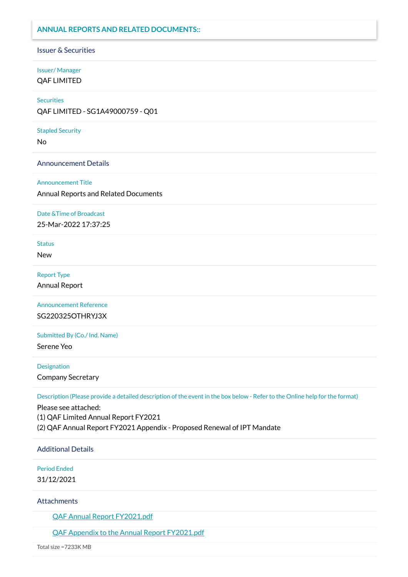## **ANNUAL REPORTS AND RELATED DOCUMENTS::**

#### Issuer & Securities

# Issuer/ Manager

QAF LIMITED

#### **Securities**

QAF LIMITED - SG1A49000759 - Q01

#### Stapled Security

No

#### Announcement Details

#### Announcement Title

Annual Reports and Related Documents

#### Date &Time of Broadcast

25-Mar-2022 17:37:25

## **Status**

New

#### Report Type

Annual Report

Announcement Reference SG220325OTHRYJ3X

Submitted By (Co./ Ind. Name)

Serene Yeo

#### **Designation**

Company Secretary

Description (Please provide a detailed description of the event in the box below - Refer to the Online help for the format)

Please see attached: (1) QAF Limited Annual Report FY2021 (2) QAF Annual Report FY2021 Appendix - Proposed Renewal of IPT Mandate

Additional Details

Period Ended

31/12/2021

### Attachments

QAF Annual [Report FY2021.pdf](https://links.sgx.com/1.0.0/corporate-announcements/336NTPIH223JM2P2/708386_QAF%20Annual%20Report%20FY2021.pdf)

QAF Appendix to the Annual [Report FY2021.pdf](https://links.sgx.com/1.0.0/corporate-announcements/336NTPIH223JM2P2/708387_QAF%20Appendix%20to%20the%20Annual%20Report%20FY2021.pdf)

Total size =7233K MB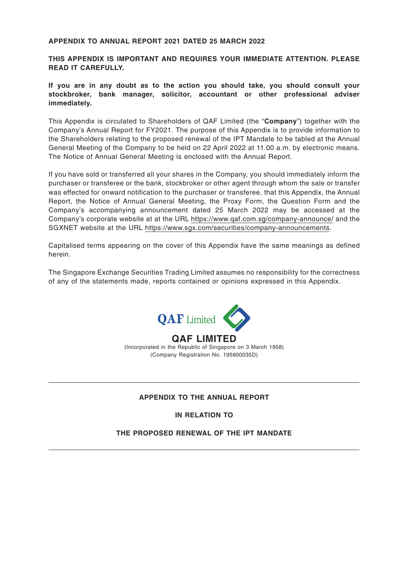#### **APPENDIX TO ANNUAL REPORT 2021 DATED 25 MARCH 2022**

**THIS APPENDIX IS IMPORTANT AND REQUIRES YOUR IMMEDIATE ATTENTION. PLEASE READ IT CAREFULLY.**

**If you are in any doubt as to the action you should take, you should consult your stockbroker, bank manager, solicitor, accountant or other professional adviser immediately.**

This Appendix is circulated to Shareholders of QAF Limited (the "**Company**") together with the Company's Annual Report for FY2021. The purpose of this Appendix is to provide information to the Shareholders relating to the proposed renewal of the IPT Mandate to be tabled at the Annual General Meeting of the Company to be held on 22 April 2022 at 11.00 a.m. by electronic means. The Notice of Annual General Meeting is enclosed with the Annual Report.

If you have sold or transferred all your shares in the Company, you should immediately inform the purchaser or transferee or the bank, stockbroker or other agent through whom the sale or transfer was effected for onward notification to the purchaser or transferee, that this Appendix, the Annual Report, the Notice of Annual General Meeting, the Proxy Form, the Question Form and the Company's accompanying announcement dated 25 March 2022 may be accessed at the Company's corporate website at at the URL https://www.qaf.com.sg/company-announce/ and the SGXNET website at the URL https://www.sgx.com/securities/company-announcements.

Capitalised terms appearing on the cover of this Appendix have the same meanings as defined herein.

The Singapore Exchange Securities Trading Limited assumes no responsibility for the correctness of any of the statements made, reports contained or opinions expressed in this Appendix.



**QAF LIMITED** (Incorporated in the Republic of Singapore on 3 March 1958) (Company Registration No. 195800035D)

#### **APPENDIX TO THE ANNUAL REPORT**

**IN RELATION TO**

### **THE PROPOSED RENEWAL OF THE IPT MANDATE**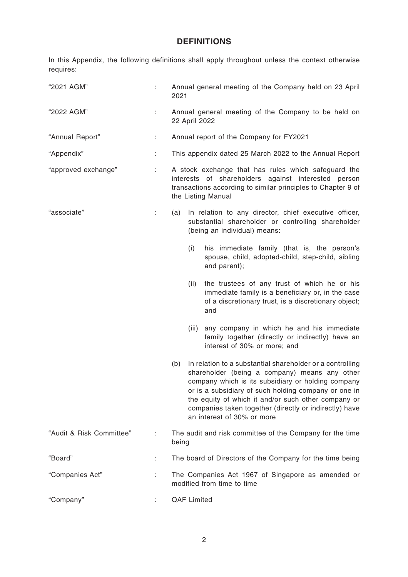## **DEFINITIONS**

In this Appendix, the following definitions shall apply throughout unless the context otherwise requires:

| "2021 AGM"               | t. | Annual general meeting of the Company held on 23 April<br>2021                                                                                                                                                                                                                                                                                                                 |  |  |  |
|--------------------------|----|--------------------------------------------------------------------------------------------------------------------------------------------------------------------------------------------------------------------------------------------------------------------------------------------------------------------------------------------------------------------------------|--|--|--|
| "2022 AGM"               | t. | Annual general meeting of the Company to be held on<br>22 April 2022                                                                                                                                                                                                                                                                                                           |  |  |  |
| "Annual Report"          | ÷. | Annual report of the Company for FY2021                                                                                                                                                                                                                                                                                                                                        |  |  |  |
| "Appendix"               | t, | This appendix dated 25 March 2022 to the Annual Report                                                                                                                                                                                                                                                                                                                         |  |  |  |
| "approved exchange"      | ÷. | A stock exchange that has rules which safeguard the<br>interests of shareholders against interested person<br>transactions according to similar principles to Chapter 9 of<br>the Listing Manual                                                                                                                                                                               |  |  |  |
| "associate"              | ÷. | In relation to any director, chief executive officer,<br>(a)<br>substantial shareholder or controlling shareholder<br>(being an individual) means:                                                                                                                                                                                                                             |  |  |  |
|                          |    | (i)<br>his immediate family (that is, the person's<br>spouse, child, adopted-child, step-child, sibling<br>and parent);                                                                                                                                                                                                                                                        |  |  |  |
|                          |    | the trustees of any trust of which he or his<br>(ii)<br>immediate family is a beneficiary or, in the case<br>of a discretionary trust, is a discretionary object;<br>and                                                                                                                                                                                                       |  |  |  |
|                          |    | (iii) any company in which he and his immediate<br>family together (directly or indirectly) have an<br>interest of 30% or more; and                                                                                                                                                                                                                                            |  |  |  |
|                          |    | In relation to a substantial shareholder or a controlling<br>(b)<br>shareholder (being a company) means any other<br>company which is its subsidiary or holding company<br>or is a subsidiary of such holding company or one in<br>the equity of which it and/or such other company or<br>companies taken together (directly or indirectly) have<br>an interest of 30% or more |  |  |  |
| "Audit & Risk Committee" |    | The audit and risk committee of the Company for the time<br>being                                                                                                                                                                                                                                                                                                              |  |  |  |
| "Board"                  |    | The board of Directors of the Company for the time being                                                                                                                                                                                                                                                                                                                       |  |  |  |
| "Companies Act"          |    | The Companies Act 1967 of Singapore as amended or<br>modified from time to time                                                                                                                                                                                                                                                                                                |  |  |  |
| "Company"                |    | <b>QAF Limited</b>                                                                                                                                                                                                                                                                                                                                                             |  |  |  |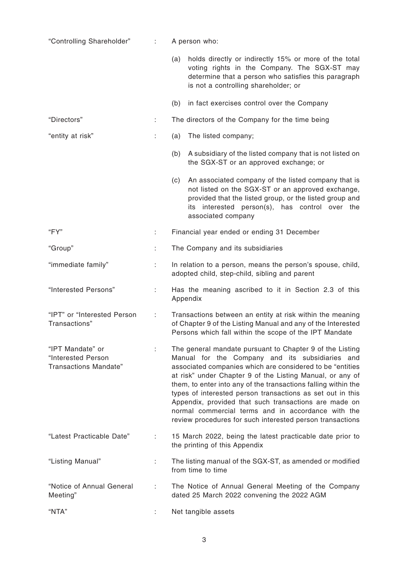| "Controlling Shareholder"                                              | ÷  | A person who:                                                                                                                                                                                                                                                                                                                                                                                                                                                                                                                                      |  |  |  |
|------------------------------------------------------------------------|----|----------------------------------------------------------------------------------------------------------------------------------------------------------------------------------------------------------------------------------------------------------------------------------------------------------------------------------------------------------------------------------------------------------------------------------------------------------------------------------------------------------------------------------------------------|--|--|--|
|                                                                        |    | holds directly or indirectly 15% or more of the total<br>(a)<br>voting rights in the Company. The SGX-ST may<br>determine that a person who satisfies this paragraph<br>is not a controlling shareholder; or                                                                                                                                                                                                                                                                                                                                       |  |  |  |
|                                                                        |    | (b)<br>in fact exercises control over the Company                                                                                                                                                                                                                                                                                                                                                                                                                                                                                                  |  |  |  |
| "Directors"                                                            | ÷  | The directors of the Company for the time being                                                                                                                                                                                                                                                                                                                                                                                                                                                                                                    |  |  |  |
| "entity at risk"                                                       | ÷  | The listed company;<br>(a)                                                                                                                                                                                                                                                                                                                                                                                                                                                                                                                         |  |  |  |
|                                                                        |    | A subsidiary of the listed company that is not listed on<br>(b)<br>the SGX-ST or an approved exchange; or                                                                                                                                                                                                                                                                                                                                                                                                                                          |  |  |  |
|                                                                        |    | An associated company of the listed company that is<br>(c)<br>not listed on the SGX-ST or an approved exchange,<br>provided that the listed group, or the listed group and<br>its interested person(s), has control over the<br>associated company                                                                                                                                                                                                                                                                                                 |  |  |  |
| "FY"                                                                   | t. | Financial year ended or ending 31 December                                                                                                                                                                                                                                                                                                                                                                                                                                                                                                         |  |  |  |
| "Group"                                                                |    | The Company and its subsidiaries                                                                                                                                                                                                                                                                                                                                                                                                                                                                                                                   |  |  |  |
| "immediate family"                                                     | ÷. | In relation to a person, means the person's spouse, child,<br>adopted child, step-child, sibling and parent                                                                                                                                                                                                                                                                                                                                                                                                                                        |  |  |  |
| "Interested Persons"                                                   | ÷. | Has the meaning ascribed to it in Section 2.3 of this<br>Appendix                                                                                                                                                                                                                                                                                                                                                                                                                                                                                  |  |  |  |
| "IPT" or "Interested Person<br>Transactions"                           | ÷  | Transactions between an entity at risk within the meaning<br>of Chapter 9 of the Listing Manual and any of the Interested<br>Persons which fall within the scope of the IPT Mandate                                                                                                                                                                                                                                                                                                                                                                |  |  |  |
| "IPT Mandate" or<br>"Interested Person<br><b>Transactions Mandate"</b> |    | The general mandate pursuant to Chapter 9 of the Listing<br>Manual for the Company and its subsidiaries and<br>associated companies which are considered to be "entities"<br>at risk" under Chapter 9 of the Listing Manual, or any of<br>them, to enter into any of the transactions falling within the<br>types of interested person transactions as set out in this<br>Appendix, provided that such transactions are made on<br>normal commercial terms and in accordance with the<br>review procedures for such interested person transactions |  |  |  |
| "Latest Practicable Date"                                              | ÷  | 15 March 2022, being the latest practicable date prior to<br>the printing of this Appendix                                                                                                                                                                                                                                                                                                                                                                                                                                                         |  |  |  |
| "Listing Manual"                                                       |    | The listing manual of the SGX-ST, as amended or modified<br>from time to time                                                                                                                                                                                                                                                                                                                                                                                                                                                                      |  |  |  |
| "Notice of Annual General<br>Meeting"                                  |    | The Notice of Annual General Meeting of the Company<br>dated 25 March 2022 convening the 2022 AGM                                                                                                                                                                                                                                                                                                                                                                                                                                                  |  |  |  |
| "NTA"                                                                  |    | Net tangible assets                                                                                                                                                                                                                                                                                                                                                                                                                                                                                                                                |  |  |  |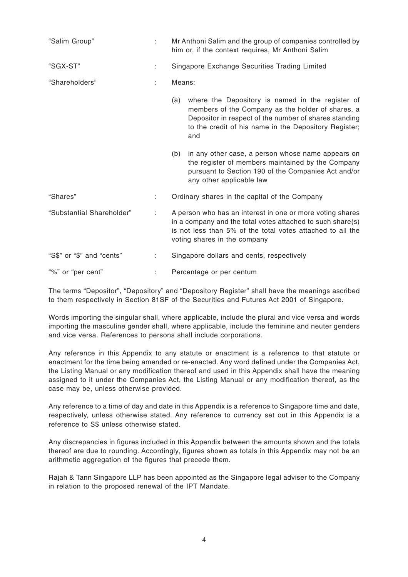| "Salim Group"             | ÷. | Mr Anthoni Salim and the group of companies controlled by<br>him or, if the context requires, Mr Anthoni Salim                                                                                                                     |  |  |
|---------------------------|----|------------------------------------------------------------------------------------------------------------------------------------------------------------------------------------------------------------------------------------|--|--|
| "SGX-ST"                  | ÷  | Singapore Exchange Securities Trading Limited                                                                                                                                                                                      |  |  |
| "Shareholders"            | ÷  | Means:                                                                                                                                                                                                                             |  |  |
|                           |    | (a) where the Depository is named in the register of<br>members of the Company as the holder of shares, a<br>Depositor in respect of the number of shares standing<br>to the credit of his name in the Depository Register;<br>and |  |  |
|                           |    | in any other case, a person whose name appears on<br>(b)<br>the register of members maintained by the Company<br>pursuant to Section 190 of the Companies Act and/or<br>any other applicable law                                   |  |  |
| "Shares"                  | ÷  | Ordinary shares in the capital of the Company                                                                                                                                                                                      |  |  |
| "Substantial Shareholder" | ÷  | A person who has an interest in one or more voting shares<br>in a company and the total votes attached to such share(s)<br>is not less than 5% of the total votes attached to all the<br>voting shares in the company              |  |  |
| "S\$" or "\$" and "cents" |    | Singapore dollars and cents, respectively                                                                                                                                                                                          |  |  |
| "%" or "per cent"         |    | Percentage or per centum                                                                                                                                                                                                           |  |  |

The terms "Depositor", "Depository" and "Depository Register" shall have the meanings ascribed to them respectively in Section 81SF of the Securities and Futures Act 2001 of Singapore.

Words importing the singular shall, where applicable, include the plural and vice versa and words importing the masculine gender shall, where applicable, include the feminine and neuter genders and vice versa. References to persons shall include corporations.

Any reference in this Appendix to any statute or enactment is a reference to that statute or enactment for the time being amended or re-enacted. Any word defined under the Companies Act, the Listing Manual or any modification thereof and used in this Appendix shall have the meaning assigned to it under the Companies Act, the Listing Manual or any modification thereof, as the case may be, unless otherwise provided.

Any reference to a time of day and date in this Appendix is a reference to Singapore time and date, respectively, unless otherwise stated. Any reference to currency set out in this Appendix is a reference to S\$ unless otherwise stated.

Any discrepancies in figures included in this Appendix between the amounts shown and the totals thereof are due to rounding. Accordingly, figures shown as totals in this Appendix may not be an arithmetic aggregation of the figures that precede them.

Rajah & Tann Singapore LLP has been appointed as the Singapore legal adviser to the Company in relation to the proposed renewal of the IPT Mandate.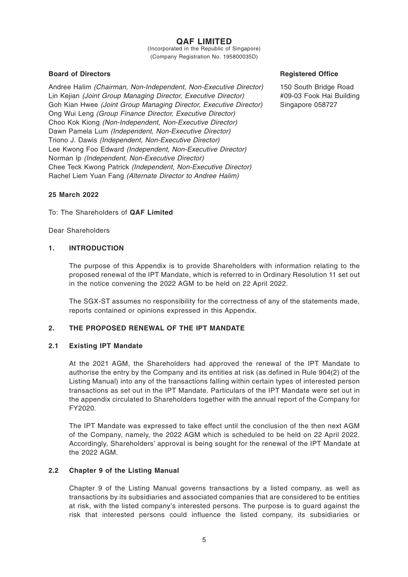## **QAF LIMITED**

(Incorporated in the Republic of Singapore) (Company Registration No. 195800035D)

### **Board of Directors**

Andree Halim (Chairman, Non-Independent, Non-Executive Director) Lin Kejian (Joint Group Managing Director, Executive Director) Goh Kian Hwee (Joint Group Managing Director, Executive Director) Ong Wui Leng (Group Finance Director, Executive Director) Choo Kok Kiong (Non-Independent, Non-Executive Director) Dawn Pamela Lum (Independent, Non-Executive Director) Triono J. Dawis (Independent, Non-Executive Director) Lee Kwong Foo Edward (Independent, Non-Executive Director) Norman Ip (Independent, Non-Executive Director) Chee Teck Kwong Patrick (Independent, Non-Executive Director) Rachel Liem Yuan Fang (Alternate Director to Andree Halim)

#### **Registered Office**

150 South Bridge Road #09-03 Fook Hai Building Singapore 058727

#### **25 March 2022**

To: The Shareholders of **QAF Limited**

Dear Shareholders

#### **1. INTRODUCTION**

The purpose of this Appendix is to provide Shareholders with information relating to the proposed renewal of the IPT Mandate, which is referred to in Ordinary Resolution 11 set out in the notice convening the 2022 AGM to be held on 22 April 2022.

The SGX-ST assumes no responsibility for the correctness of any of the statements made, reports contained or opinions expressed in this Appendix.

#### **2. THE PROPOSED RENEWAL OF THE IPT MANDATE**

#### **2.1 Existing IPT Mandate**

At the 2021 AGM, the Shareholders had approved the renewal of the IPT Mandate to authorise the entry by the Company and its entities at risk (as defined in Rule 904(2) of the Listing Manual) into any of the transactions falling within certain types of interested person transactions as set out in the IPT Mandate. Particulars of the IPT Mandate were set out in the appendix circulated to Shareholders together with the annual report of the Company for FY2020.

The IPT Mandate was expressed to take effect until the conclusion of the then next AGM of the Company, namely, the 2022 AGM which is scheduled to be held on 22 April 2022. Accordingly, Shareholders' approval is being sought for the renewal of the IPT Mandate at the 2022 AGM.

## **2.2 Chapter 9 of the Listing Manual**

Chapter 9 of the Listing Manual governs transactions by a listed company, as well as transactions by its subsidiaries and associated companies that are considered to be entities at risk, with the listed company's interested persons. The purpose is to guard against the risk that interested persons could influence the listed company, its subsidiaries or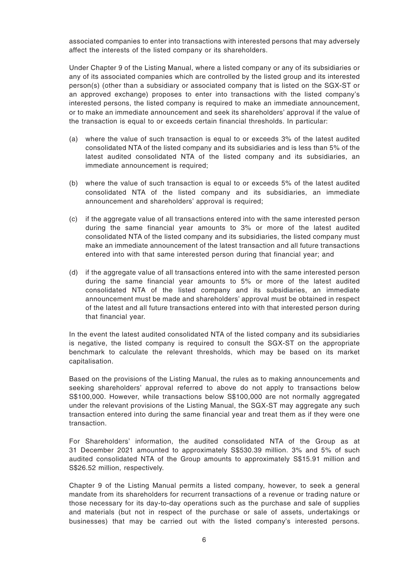associated companies to enter into transactions with interested persons that may adversely affect the interests of the listed company or its shareholders.

Under Chapter 9 of the Listing Manual, where a listed company or any of its subsidiaries or any of its associated companies which are controlled by the listed group and its interested person(s) (other than a subsidiary or associated company that is listed on the SGX-ST or an approved exchange) proposes to enter into transactions with the listed company's interested persons, the listed company is required to make an immediate announcement, or to make an immediate announcement and seek its shareholders' approval if the value of the transaction is equal to or exceeds certain financial thresholds. In particular:

- (a) where the value of such transaction is equal to or exceeds 3% of the latest audited consolidated NTA of the listed company and its subsidiaries and is less than 5% of the latest audited consolidated NTA of the listed company and its subsidiaries, an immediate announcement is required;
- (b) where the value of such transaction is equal to or exceeds 5% of the latest audited consolidated NTA of the listed company and its subsidiaries, an immediate announcement and shareholders' approval is required;
- (c) if the aggregate value of all transactions entered into with the same interested person during the same financial year amounts to 3% or more of the latest audited consolidated NTA of the listed company and its subsidiaries, the listed company must make an immediate announcement of the latest transaction and all future transactions entered into with that same interested person during that financial year; and
- (d) if the aggregate value of all transactions entered into with the same interested person during the same financial year amounts to 5% or more of the latest audited consolidated NTA of the listed company and its subsidiaries, an immediate announcement must be made and shareholders' approval must be obtained in respect of the latest and all future transactions entered into with that interested person during that financial year.

In the event the latest audited consolidated NTA of the listed company and its subsidiaries is negative, the listed company is required to consult the SGX-ST on the appropriate benchmark to calculate the relevant thresholds, which may be based on its market capitalisation.

Based on the provisions of the Listing Manual, the rules as to making announcements and seeking shareholders' approval referred to above do not apply to transactions below S\$100,000. However, while transactions below S\$100,000 are not normally aggregated under the relevant provisions of the Listing Manual, the SGX-ST may aggregate any such transaction entered into during the same financial year and treat them as if they were one transaction.

For Shareholders' information, the audited consolidated NTA of the Group as at 31 December 2021 amounted to approximately S\$530.39 million. 3% and 5% of such audited consolidated NTA of the Group amounts to approximately S\$15.91 million and S\$26.52 million, respectively.

Chapter 9 of the Listing Manual permits a listed company, however, to seek a general mandate from its shareholders for recurrent transactions of a revenue or trading nature or those necessary for its day-to-day operations such as the purchase and sale of supplies and materials (but not in respect of the purchase or sale of assets, undertakings or businesses) that may be carried out with the listed company's interested persons.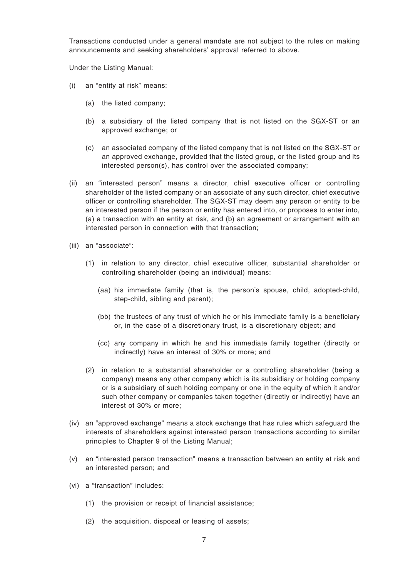Transactions conducted under a general mandate are not subject to the rules on making announcements and seeking shareholders' approval referred to above.

Under the Listing Manual:

- (i) an "entity at risk" means:
	- (a) the listed company;
	- (b) a subsidiary of the listed company that is not listed on the SGX-ST or an approved exchange; or
	- (c) an associated company of the listed company that is not listed on the SGX-ST or an approved exchange, provided that the listed group, or the listed group and its interested person(s), has control over the associated company;
- (ii) an "interested person" means a director, chief executive officer or controlling shareholder of the listed company or an associate of any such director, chief executive officer or controlling shareholder. The SGX-ST may deem any person or entity to be an interested person if the person or entity has entered into, or proposes to enter into, (a) a transaction with an entity at risk, and (b) an agreement or arrangement with an interested person in connection with that transaction;
- (iii) an "associate":
	- (1) in relation to any director, chief executive officer, substantial shareholder or controlling shareholder (being an individual) means:
		- (aa) his immediate family (that is, the person's spouse, child, adopted-child, step-child, sibling and parent);
		- (bb) the trustees of any trust of which he or his immediate family is a beneficiary or, in the case of a discretionary trust, is a discretionary object; and
		- (cc) any company in which he and his immediate family together (directly or indirectly) have an interest of 30% or more; and
	- (2) in relation to a substantial shareholder or a controlling shareholder (being a company) means any other company which is its subsidiary or holding company or is a subsidiary of such holding company or one in the equity of which it and/or such other company or companies taken together (directly or indirectly) have an interest of 30% or more;
- (iv) an "approved exchange" means a stock exchange that has rules which safeguard the interests of shareholders against interested person transactions according to similar principles to Chapter 9 of the Listing Manual;
- (v) an "interested person transaction" means a transaction between an entity at risk and an interested person; and
- (vi) a "transaction" includes:
	- (1) the provision or receipt of financial assistance;
	- (2) the acquisition, disposal or leasing of assets;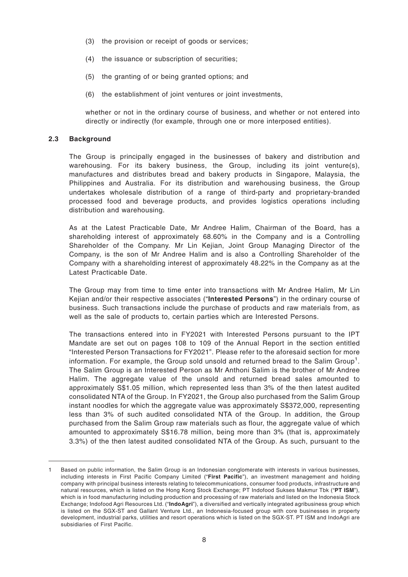- (3) the provision or receipt of goods or services;
- (4) the issuance or subscription of securities;
- (5) the granting of or being granted options; and
- (6) the establishment of joint ventures or joint investments,

whether or not in the ordinary course of business, and whether or not entered into directly or indirectly (for example, through one or more interposed entities).

#### **2.3 Background**

The Group is principally engaged in the businesses of bakery and distribution and warehousing. For its bakery business, the Group, including its joint venture(s), manufactures and distributes bread and bakery products in Singapore, Malaysia, the Philippines and Australia. For its distribution and warehousing business, the Group undertakes wholesale distribution of a range of third-party and proprietary-branded processed food and beverage products, and provides logistics operations including distribution and warehousing.

As at the Latest Practicable Date, Mr Andree Halim, Chairman of the Board, has a shareholding interest of approximately 68.60% in the Company and is a Controlling Shareholder of the Company. Mr Lin Kejian, Joint Group Managing Director of the Company, is the son of Mr Andree Halim and is also a Controlling Shareholder of the Company with a shareholding interest of approximately 48.22% in the Company as at the Latest Practicable Date.

The Group may from time to time enter into transactions with Mr Andree Halim, Mr Lin Kejian and/or their respective associates ("**Interested Persons**") in the ordinary course of business. Such transactions include the purchase of products and raw materials from, as well as the sale of products to, certain parties which are Interested Persons.

The transactions entered into in FY2021 with Interested Persons pursuant to the IPT Mandate are set out on pages 108 to 109 of the Annual Report in the section entitled "Interested Person Transactions for FY2021". Please refer to the aforesaid section for more information. For example, the Group sold unsold and returned bread to the Salim Group<sup>1</sup>. The Salim Group is an Interested Person as Mr Anthoni Salim is the brother of Mr Andree Halim. The aggregate value of the unsold and returned bread sales amounted to approximately S\$1.05 million, which represented less than 3% of the then latest audited consolidated NTA of the Group. In FY2021, the Group also purchased from the Salim Group instant noodles for which the aggregate value was approximately S\$372,000, representing less than 3% of such audited consolidated NTA of the Group. In addition, the Group purchased from the Salim Group raw materials such as flour, the aggregate value of which amounted to approximately S\$16.78 million, being more than 3% (that is, approximately 3.3%) of the then latest audited consolidated NTA of the Group. As such, pursuant to the

<sup>1</sup> Based on public information, the Salim Group is an Indonesian conglomerate with interests in various businesses, including interests in First Pacific Company Limited ("**First Pacific**"), an investment management and holding company with principal business interests relating to telecommunications, consumer food products, infrastructure and natural resources, which is listed on the Hong Kong Stock Exchange; PT Indofood Sukses Makmur Tbk ("**PT ISM**"), which is in food manufacturing including production and processing of raw materials and listed on the Indonesia Stock Exchange; Indofood Agri Resources Ltd. ("**IndoAgri**"), a diversified and vertically integrated agribusiness group which is listed on the SGX-ST and Gallant Venture Ltd., an Indonesia-focused group with core businesses in property development, industrial parks, utilities and resort operations which is listed on the SGX-ST. PT ISM and IndoAgri are subsidiaries of First Pacific.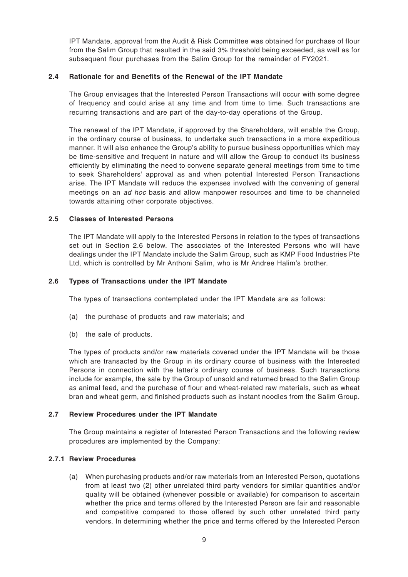IPT Mandate, approval from the Audit & Risk Committee was obtained for purchase of flour from the Salim Group that resulted in the said 3% threshold being exceeded, as well as for subsequent flour purchases from the Salim Group for the remainder of FY2021.

### **2.4 Rationale for and Benefits of the Renewal of the IPT Mandate**

The Group envisages that the Interested Person Transactions will occur with some degree of frequency and could arise at any time and from time to time. Such transactions are recurring transactions and are part of the day-to-day operations of the Group.

The renewal of the IPT Mandate, if approved by the Shareholders, will enable the Group, in the ordinary course of business, to undertake such transactions in a more expeditious manner. It will also enhance the Group's ability to pursue business opportunities which may be time-sensitive and frequent in nature and will allow the Group to conduct its business efficiently by eliminating the need to convene separate general meetings from time to time to seek Shareholders' approval as and when potential Interested Person Transactions arise. The IPT Mandate will reduce the expenses involved with the convening of general meetings on an ad hoc basis and allow manpower resources and time to be channeled towards attaining other corporate objectives.

## **2.5 Classes of Interested Persons**

The IPT Mandate will apply to the Interested Persons in relation to the types of transactions set out in Section 2.6 below. The associates of the Interested Persons who will have dealings under the IPT Mandate include the Salim Group, such as KMP Food Industries Pte Ltd, which is controlled by Mr Anthoni Salim, who is Mr Andree Halim's brother.

## **2.6 Types of Transactions under the IPT Mandate**

The types of transactions contemplated under the IPT Mandate are as follows:

- (a) the purchase of products and raw materials; and
- (b) the sale of products.

The types of products and/or raw materials covered under the IPT Mandate will be those which are transacted by the Group in its ordinary course of business with the Interested Persons in connection with the latter's ordinary course of business. Such transactions include for example, the sale by the Group of unsold and returned bread to the Salim Group as animal feed, and the purchase of flour and wheat-related raw materials, such as wheat bran and wheat germ, and finished products such as instant noodles from the Salim Group.

#### **2.7 Review Procedures under the IPT Mandate**

The Group maintains a register of Interested Person Transactions and the following review procedures are implemented by the Company:

#### **2.7.1 Review Procedures**

(a) When purchasing products and/or raw materials from an Interested Person, quotations from at least two (2) other unrelated third party vendors for similar quantities and/or quality will be obtained (whenever possible or available) for comparison to ascertain whether the price and terms offered by the Interested Person are fair and reasonable and competitive compared to those offered by such other unrelated third party vendors. In determining whether the price and terms offered by the Interested Person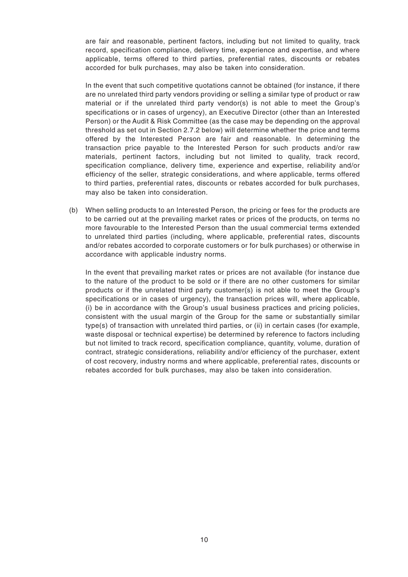are fair and reasonable, pertinent factors, including but not limited to quality, track record, specification compliance, delivery time, experience and expertise, and where applicable, terms offered to third parties, preferential rates, discounts or rebates accorded for bulk purchases, may also be taken into consideration.

In the event that such competitive quotations cannot be obtained (for instance, if there are no unrelated third party vendors providing or selling a similar type of product or raw material or if the unrelated third party vendor(s) is not able to meet the Group's specifications or in cases of urgency), an Executive Director (other than an Interested Person) or the Audit & Risk Committee (as the case may be depending on the approval threshold as set out in Section 2.7.2 below) will determine whether the price and terms offered by the Interested Person are fair and reasonable. In determining the transaction price payable to the Interested Person for such products and/or raw materials, pertinent factors, including but not limited to quality, track record, specification compliance, delivery time, experience and expertise, reliability and/or efficiency of the seller, strategic considerations, and where applicable, terms offered to third parties, preferential rates, discounts or rebates accorded for bulk purchases, may also be taken into consideration.

(b) When selling products to an Interested Person, the pricing or fees for the products are to be carried out at the prevailing market rates or prices of the products, on terms no more favourable to the Interested Person than the usual commercial terms extended to unrelated third parties (including, where applicable, preferential rates, discounts and/or rebates accorded to corporate customers or for bulk purchases) or otherwise in accordance with applicable industry norms.

In the event that prevailing market rates or prices are not available (for instance due to the nature of the product to be sold or if there are no other customers for similar products or if the unrelated third party customer(s) is not able to meet the Group's specifications or in cases of urgency), the transaction prices will, where applicable, (i) be in accordance with the Group's usual business practices and pricing policies, consistent with the usual margin of the Group for the same or substantially similar type(s) of transaction with unrelated third parties, or (ii) in certain cases (for example, waste disposal or technical expertise) be determined by reference to factors including but not limited to track record, specification compliance, quantity, volume, duration of contract, strategic considerations, reliability and/or efficiency of the purchaser, extent of cost recovery, industry norms and where applicable, preferential rates, discounts or rebates accorded for bulk purchases, may also be taken into consideration.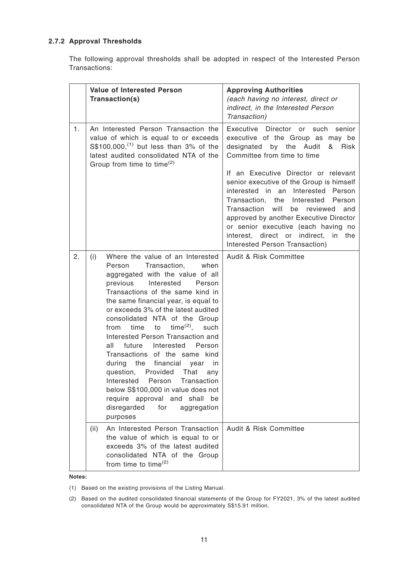## **2.7.2 Approval Thresholds**

The following approval thresholds shall be adopted in respect of the Interested Person Transactions:

|    | Value of Interested Person<br>Transaction(s)                                                                                                                                                                                                                                                                                                                                                                                                                                                                                                                                                                                                                                                                         | <b>Approving Authorities</b><br>(each having no interest, direct or<br>indirect, in the Interested Person<br>Transaction)                                                                                                                                                                                                                                                                                                                                                                                                           |  |  |
|----|----------------------------------------------------------------------------------------------------------------------------------------------------------------------------------------------------------------------------------------------------------------------------------------------------------------------------------------------------------------------------------------------------------------------------------------------------------------------------------------------------------------------------------------------------------------------------------------------------------------------------------------------------------------------------------------------------------------------|-------------------------------------------------------------------------------------------------------------------------------------------------------------------------------------------------------------------------------------------------------------------------------------------------------------------------------------------------------------------------------------------------------------------------------------------------------------------------------------------------------------------------------------|--|--|
| 1. | An Interested Person Transaction the<br>value of which is equal to or exceeds<br>$S$100,000$ , <sup>(1)</sup> but less than 3% of the<br>latest audited consolidated NTA of the<br>Group from time to time <sup>(2)</sup>                                                                                                                                                                                                                                                                                                                                                                                                                                                                                            | Executive Director or such<br>senior<br>executive of the Group as may be<br>designated by the Audit<br>&<br>Risk<br>Committee from time to time<br>If an Executive Director or relevant<br>senior executive of the Group is himself<br>interested in an Interested<br>Person<br>Transaction,<br>the Interested<br>Person<br>Transaction will<br>be reviewed<br>and<br>approved by another Executive Director<br>or senior executive (each having no<br>interest, direct or indirect,<br>in<br>the<br>Interested Person Transaction) |  |  |
| 2. | Where the value of an Interested<br>(i)<br>Person<br>Transaction,<br>when<br>aggregated with the value of all<br>Interested<br>previous<br>Person<br>Transactions of the same kind in<br>the same financial year, is equal to<br>or exceeds 3% of the latest audited<br>consolidated NTA of the Group<br>$time^{(2)}$ ,<br>time<br>to<br>such<br>from<br>Interested Person Transaction and<br>all<br>future Interested<br>Person<br>Transactions of the same kind<br>during<br>the<br>financial<br>year<br>in<br>question,<br>Provided<br>That<br>anv<br>Interested<br>Person<br>Transaction<br>below S\$100,000 in value does not<br>require approval and shall be<br>disregarded<br>for<br>aggregation<br>purposes | Audit & Risk Committee                                                                                                                                                                                                                                                                                                                                                                                                                                                                                                              |  |  |
|    | An Interested Person Transaction<br>(ii)<br>the value of which is equal to or<br>exceeds 3% of the latest audited<br>consolidated NTA of the Group<br>from time to time <sup>(2)</sup>                                                                                                                                                                                                                                                                                                                                                                                                                                                                                                                               | Audit & Risk Committee                                                                                                                                                                                                                                                                                                                                                                                                                                                                                                              |  |  |

#### **Notes:**

(1) Based on the existing provisions of the Listing Manual.

(2) Based on the audited consolidated financial statements of the Group for FY2021, 3% of the latest audited consolidated NTA of the Group would be approximately S\$15.91 million.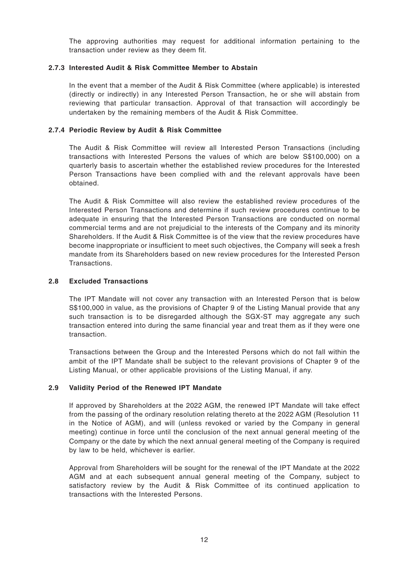The approving authorities may request for additional information pertaining to the transaction under review as they deem fit.

### **2.7.3 Interested Audit & Risk Committee Member to Abstain**

In the event that a member of the Audit & Risk Committee (where applicable) is interested (directly or indirectly) in any Interested Person Transaction, he or she will abstain from reviewing that particular transaction. Approval of that transaction will accordingly be undertaken by the remaining members of the Audit & Risk Committee.

### **2.7.4 Periodic Review by Audit & Risk Committee**

The Audit & Risk Committee will review all Interested Person Transactions (including transactions with Interested Persons the values of which are below S\$100,000) on a quarterly basis to ascertain whether the established review procedures for the Interested Person Transactions have been complied with and the relevant approvals have been obtained.

The Audit & Risk Committee will also review the established review procedures of the Interested Person Transactions and determine if such review procedures continue to be adequate in ensuring that the Interested Person Transactions are conducted on normal commercial terms and are not prejudicial to the interests of the Company and its minority Shareholders. If the Audit & Risk Committee is of the view that the review procedures have become inappropriate or insufficient to meet such objectives, the Company will seek a fresh mandate from its Shareholders based on new review procedures for the Interested Person Transactions.

#### **2.8 Excluded Transactions**

The IPT Mandate will not cover any transaction with an Interested Person that is below S\$100,000 in value, as the provisions of Chapter 9 of the Listing Manual provide that any such transaction is to be disregarded although the SGX-ST may aggregate any such transaction entered into during the same financial year and treat them as if they were one transaction.

Transactions between the Group and the Interested Persons which do not fall within the ambit of the IPT Mandate shall be subject to the relevant provisions of Chapter 9 of the Listing Manual, or other applicable provisions of the Listing Manual, if any.

#### **2.9 Validity Period of the Renewed IPT Mandate**

If approved by Shareholders at the 2022 AGM, the renewed IPT Mandate will take effect from the passing of the ordinary resolution relating thereto at the 2022 AGM (Resolution 11 in the Notice of AGM), and will (unless revoked or varied by the Company in general meeting) continue in force until the conclusion of the next annual general meeting of the Company or the date by which the next annual general meeting of the Company is required by law to be held, whichever is earlier.

Approval from Shareholders will be sought for the renewal of the IPT Mandate at the 2022 AGM and at each subsequent annual general meeting of the Company, subject to satisfactory review by the Audit & Risk Committee of its continued application to transactions with the Interested Persons.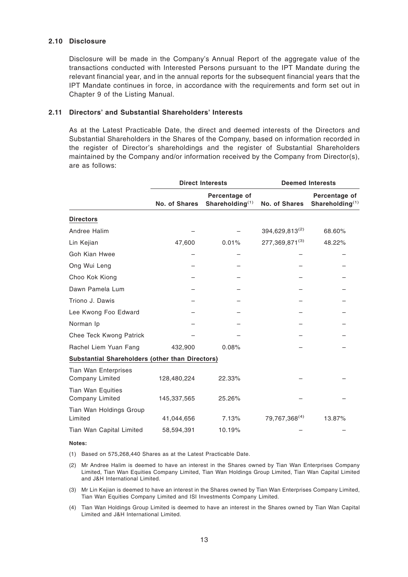#### **2.10 Disclosure**

Disclosure will be made in the Company's Annual Report of the aggregate value of the transactions conducted with Interested Persons pursuant to the IPT Mandate during the relevant financial year, and in the annual reports for the subsequent financial years that the IPT Mandate continues in force, in accordance with the requirements and form set out in Chapter 9 of the Listing Manual.

#### **2.11 Directors' and Substantial Shareholders' Interests**

As at the Latest Practicable Date, the direct and deemed interests of the Directors and Substantial Shareholders in the Shares of the Company, based on information recorded in the register of Director's shareholdings and the register of Substantial Shareholders maintained by the Company and/or information received by the Company from Director(s), are as follows:

|                                                        |               | <b>Direct Interests</b>             | <b>Deemed Interests</b> |                                     |  |
|--------------------------------------------------------|---------------|-------------------------------------|-------------------------|-------------------------------------|--|
|                                                        | No. of Shares | Percentage of<br>Shareholding $(1)$ | No. of Shares           | Percentage of<br>Shareholding $(1)$ |  |
| <b>Directors</b>                                       |               |                                     |                         |                                     |  |
| Andree Halim                                           |               |                                     | 394,629,813(2)          | 68.60%                              |  |
| Lin Kejian                                             | 47,600        | 0.01%                               | 277,369,871(3)          | 48.22%                              |  |
| <b>Goh Kian Hwee</b>                                   |               |                                     |                         |                                     |  |
| Ong Wui Leng                                           |               |                                     |                         |                                     |  |
| Choo Kok Kiong                                         |               |                                     |                         |                                     |  |
| Dawn Pamela Lum                                        |               |                                     |                         |                                     |  |
| Triono J. Dawis                                        |               |                                     |                         |                                     |  |
| Lee Kwong Foo Edward                                   |               |                                     |                         |                                     |  |
| Norman Ip                                              |               |                                     |                         |                                     |  |
| Chee Teck Kwong Patrick                                |               |                                     |                         |                                     |  |
| Rachel Liem Yuan Fang                                  | 432,900       | 0.08%                               |                         |                                     |  |
| <b>Substantial Shareholders (other than Directors)</b> |               |                                     |                         |                                     |  |
| <b>Tian Wan Enterprises</b><br>Company Limited         | 128,480,224   | 22.33%                              |                         |                                     |  |
| <b>Tian Wan Equities</b><br><b>Company Limited</b>     | 145,337,565   | 25.26%                              |                         |                                     |  |
| Tian Wan Holdings Group<br>Limited                     | 41,044,656    | 7.13%                               | 79,767,368(4)           | 13.87%                              |  |
| Tian Wan Capital Limited                               | 58,594,391    | 10.19%                              |                         |                                     |  |

#### **Notes:**

- (1) Based on 575,268,440 Shares as at the Latest Practicable Date.
- (2) Mr Andree Halim is deemed to have an interest in the Shares owned by Tian Wan Enterprises Company Limited, Tian Wan Equities Company Limited, Tian Wan Holdings Group Limited, Tian Wan Capital Limited and J&H International Limited.
- (3) Mr Lin Kejian is deemed to have an interest in the Shares owned by Tian Wan Enterprises Company Limited, Tian Wan Equities Company Limited and ISI Investments Company Limited.
- (4) Tian Wan Holdings Group Limited is deemed to have an interest in the Shares owned by Tian Wan Capital Limited and J&H International Limited.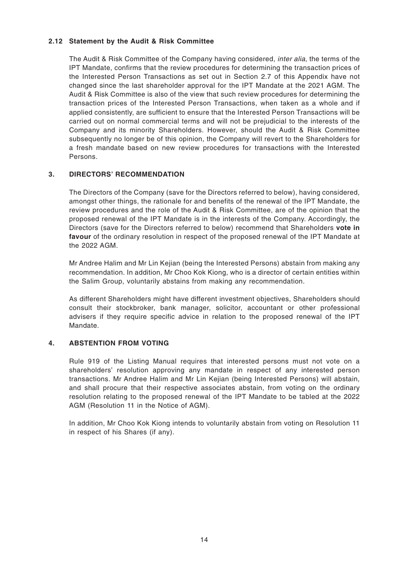#### **2.12 Statement by the Audit & Risk Committee**

The Audit & Risk Committee of the Company having considered, *inter alia*, the terms of the IPT Mandate, confirms that the review procedures for determining the transaction prices of the Interested Person Transactions as set out in Section 2.7 of this Appendix have not changed since the last shareholder approval for the IPT Mandate at the 2021 AGM. The Audit & Risk Committee is also of the view that such review procedures for determining the transaction prices of the Interested Person Transactions, when taken as a whole and if applied consistently, are sufficient to ensure that the Interested Person Transactions will be carried out on normal commercial terms and will not be prejudicial to the interests of the Company and its minority Shareholders. However, should the Audit & Risk Committee subsequently no longer be of this opinion, the Company will revert to the Shareholders for a fresh mandate based on new review procedures for transactions with the Interested Persons.

## **3. DIRECTORS' RECOMMENDATION**

The Directors of the Company (save for the Directors referred to below), having considered, amongst other things, the rationale for and benefits of the renewal of the IPT Mandate, the review procedures and the role of the Audit & Risk Committee, are of the opinion that the proposed renewal of the IPT Mandate is in the interests of the Company. Accordingly, the Directors (save for the Directors referred to below) recommend that Shareholders **vote in favour** of the ordinary resolution in respect of the proposed renewal of the IPT Mandate at the 2022 AGM.

Mr Andree Halim and Mr Lin Kejian (being the Interested Persons) abstain from making any recommendation. In addition, Mr Choo Kok Kiong, who is a director of certain entities within the Salim Group, voluntarily abstains from making any recommendation.

As different Shareholders might have different investment objectives, Shareholders should consult their stockbroker, bank manager, solicitor, accountant or other professional advisers if they require specific advice in relation to the proposed renewal of the IPT Mandate.

## **4. ABSTENTION FROM VOTING**

Rule 919 of the Listing Manual requires that interested persons must not vote on a shareholders' resolution approving any mandate in respect of any interested person transactions. Mr Andree Halim and Mr Lin Kejian (being Interested Persons) will abstain, and shall procure that their respective associates abstain, from voting on the ordinary resolution relating to the proposed renewal of the IPT Mandate to be tabled at the 2022 AGM (Resolution 11 in the Notice of AGM).

In addition, Mr Choo Kok Kiong intends to voluntarily abstain from voting on Resolution 11 in respect of his Shares (if any).